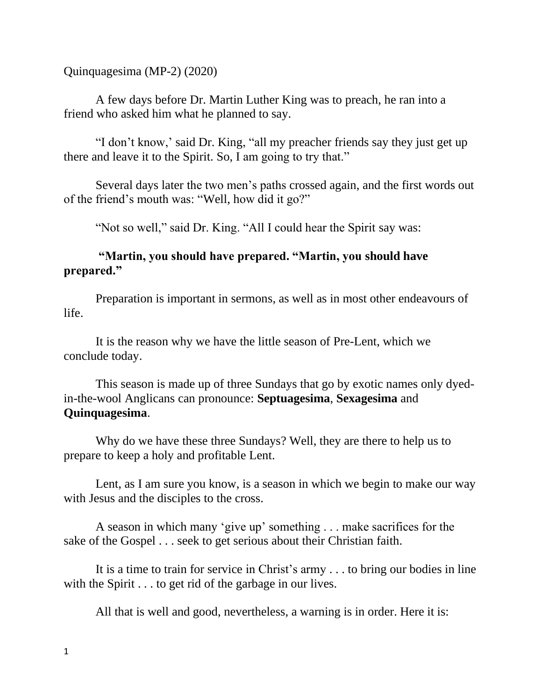Quinquagesima (MP-2) (2020)

A few days before Dr. Martin Luther King was to preach, he ran into a friend who asked him what he planned to say.

"I don't know,' said Dr. King, "all my preacher friends say they just get up there and leave it to the Spirit. So, I am going to try that."

Several days later the two men's paths crossed again, and the first words out of the friend's mouth was: "Well, how did it go?"

"Not so well," said Dr. King. "All I could hear the Spirit say was:

## **"Martin, you should have prepared. "Martin, you should have prepared."**

Preparation is important in sermons, as well as in most other endeavours of life.

It is the reason why we have the little season of Pre-Lent, which we conclude today.

This season is made up of three Sundays that go by exotic names only dyedin-the-wool Anglicans can pronounce: **Septuagesima**, **Sexagesima** and **Quinquagesima**.

Why do we have these three Sundays? Well, they are there to help us to prepare to keep a holy and profitable Lent.

Lent, as I am sure you know, is a season in which we begin to make our way with Jesus and the disciples to the cross.

A season in which many 'give up' something . . . make sacrifices for the sake of the Gospel . . . seek to get serious about their Christian faith.

It is a time to train for service in Christ's army . . . to bring our bodies in line with the Spirit . . . to get rid of the garbage in our lives.

All that is well and good, nevertheless, a warning is in order. Here it is: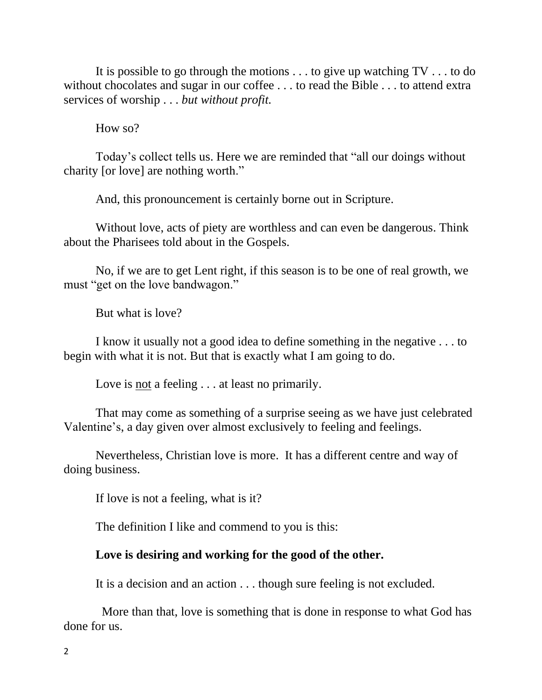It is possible to go through the motions . . . to give up watching TV . . . to do without chocolates and sugar in our coffee ... to read the Bible ... to attend extra services of worship . . . *but without profit.*

How so?

Today's collect tells us. Here we are reminded that "all our doings without charity [or love] are nothing worth."

And, this pronouncement is certainly borne out in Scripture.

Without love, acts of piety are worthless and can even be dangerous. Think about the Pharisees told about in the Gospels.

No, if we are to get Lent right, if this season is to be one of real growth, we must "get on the love bandwagon."

But what is love?

I know it usually not a good idea to define something in the negative . . . to begin with what it is not. But that is exactly what I am going to do.

Love is not a feeling . . . at least no primarily.

That may come as something of a surprise seeing as we have just celebrated Valentine's, a day given over almost exclusively to feeling and feelings.

Nevertheless, Christian love is more. It has a different centre and way of doing business.

If love is not a feeling, what is it?

The definition I like and commend to you is this:

## **Love is desiring and working for the good of the other.**

It is a decision and an action . . . though sure feeling is not excluded.

More than that, love is something that is done in response to what God has done for us.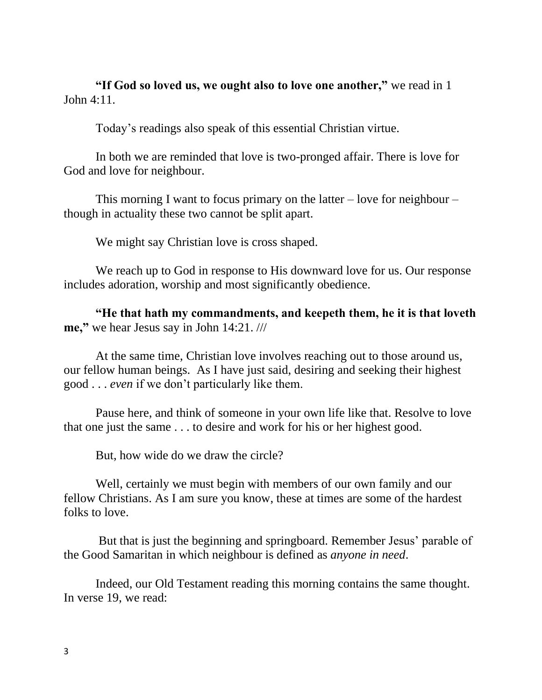**"If God so loved us, we ought also to love one another,"** we read in 1 John 4:11.

Today's readings also speak of this essential Christian virtue.

In both we are reminded that love is two-pronged affair. There is love for God and love for neighbour.

This morning I want to focus primary on the latter  $-$  love for neighbour  $$ though in actuality these two cannot be split apart.

We might say Christian love is cross shaped.

We reach up to God in response to His downward love for us. Our response includes adoration, worship and most significantly obedience.

**"He that hath my commandments, and keepeth them, he it is that loveth me,"** we hear Jesus say in John 14:21. ///

At the same time, Christian love involves reaching out to those around us, our fellow human beings. As I have just said, desiring and seeking their highest good . . . *even* if we don't particularly like them.

Pause here, and think of someone in your own life like that. Resolve to love that one just the same . . . to desire and work for his or her highest good.

But, how wide do we draw the circle?

Well, certainly we must begin with members of our own family and our fellow Christians. As I am sure you know, these at times are some of the hardest folks to love.

But that is just the beginning and springboard. Remember Jesus' parable of the Good Samaritan in which neighbour is defined as *anyone in need*.

Indeed, our Old Testament reading this morning contains the same thought. In verse 19, we read: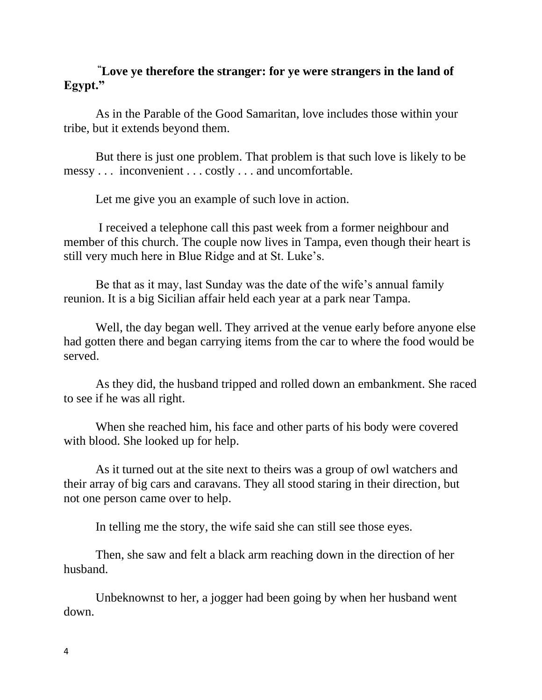## **"Love ye therefore the stranger: for ye were strangers in the land of Egypt."**

As in the Parable of the Good Samaritan, love includes those within your tribe, but it extends beyond them.

But there is just one problem. That problem is that such love is likely to be messy . . . inconvenient . . . costly . . . and uncomfortable.

Let me give you an example of such love in action.

I received a telephone call this past week from a former neighbour and member of this church. The couple now lives in Tampa, even though their heart is still very much here in Blue Ridge and at St. Luke's.

Be that as it may, last Sunday was the date of the wife's annual family reunion. It is a big Sicilian affair held each year at a park near Tampa.

Well, the day began well. They arrived at the venue early before anyone else had gotten there and began carrying items from the car to where the food would be served.

As they did, the husband tripped and rolled down an embankment. She raced to see if he was all right.

When she reached him, his face and other parts of his body were covered with blood. She looked up for help.

As it turned out at the site next to theirs was a group of owl watchers and their array of big cars and caravans. They all stood staring in their direction, but not one person came over to help.

In telling me the story, the wife said she can still see those eyes.

Then, she saw and felt a black arm reaching down in the direction of her husband.

Unbeknownst to her, a jogger had been going by when her husband went down.